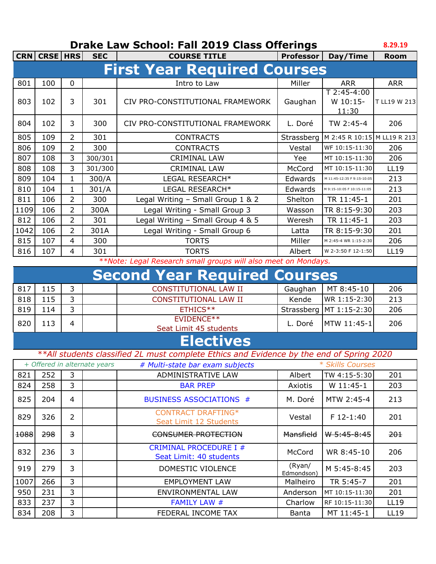## **Drake Law School: Fall 2019 Class Offerings**

|      | CRN CRSE   HRS |                | <b>SEC</b>                   | <b>COURSE TITLE</b>                                                                      | <b>Professor</b>     | Day/Time                           | <b>Room</b>  |
|------|----------------|----------------|------------------------------|------------------------------------------------------------------------------------------|----------------------|------------------------------------|--------------|
|      |                |                |                              | <b>First Year Required Courses</b>                                                       |                      |                                    |              |
| 801  | 100            | 0              |                              | Intro to Law                                                                             | Miller               | <b>ARR</b>                         | <b>ARR</b>   |
| 803  | 102            | 3              | 301                          | CIV PRO-CONSTITUTIONAL FRAMEWORK                                                         | Gaughan              | $T$ 2:45-4:00<br>W 10:15-<br>11:30 | T LL19 W 213 |
| 804  | 102            | 3              | 300                          | CIV PRO-CONSTITUTIONAL FRAMEWORK                                                         | L. Doré              | TW 2:45-4                          | 206          |
| 805  | 109            | $\overline{2}$ | 301                          | <b>CONTRACTS</b>                                                                         | Strassberg           | M 2:45 R 10:15 M LL19 R 213        |              |
| 806  | 109            | 2              | 300                          | <b>CONTRACTS</b>                                                                         | Vestal               | WF 10:15-11:30                     | 206          |
| 807  | 108            | 3              | 300/301                      | <b>CRIMINAL LAW</b>                                                                      | Yee                  | MT 10:15-11:30                     | 206          |
| 808  | 108            | 3              | 301/300                      | <b>CRIMINAL LAW</b>                                                                      | McCord               | MT 10:15-11:30                     | <b>LL19</b>  |
| 809  | 104            | $\mathbf{1}$   | 300/A                        | LEGAL RESEARCH*                                                                          | Edwards              | M 11:45-12:35 F 9:15-10:05         | 213          |
| 810  | 104            | $\mathbf{1}$   | 301/A                        | LEGAL RESEARCH*                                                                          | Edwards              | M 9:15-10:05 F 10:15-11:05         | 213          |
| 811  | 106            | $\overline{2}$ | 300                          | Legal Writing - Small Group 1 & 2                                                        | Shelton              | TR 11:45-1                         | 201          |
| 1109 | 106            | $\overline{2}$ | 300A                         | Legal Writing - Small Group 3                                                            | Wasson               | TR 8:15-9:30                       | 203          |
| 812  | 106            | 2              | 301                          | Legal Writing - Small Group 4 & 5                                                        | Weresh               | TR 11:45-1                         | 203          |
| 1042 | 106            | $\overline{2}$ | 301A                         | Legal Writing - Small Group 6                                                            | Latta                | TR 8:15-9:30                       | 201          |
| 815  | 107            | $\overline{4}$ | 300                          | <b>TORTS</b>                                                                             | Miller               | M 2:45-4 WR 1:15-2:30              | 206          |
| 816  | 107            | 4              | 301                          | <b>TORTS</b>                                                                             | Albert               | W 2-3:50 F 12-1:50                 | <b>LL19</b>  |
|      |                |                |                              | **Note: Legal Research small groups will also meet on Mondays.                           |                      |                                    |              |
|      |                |                |                              | <b>Second Year Required Courses</b>                                                      |                      |                                    |              |
| 817  | 115            | 3              |                              | <b>CONSTITUTIONAL LAW II</b>                                                             | Gaughan              | MT 8:45-10                         | 206          |
| 818  | 115            | 3              |                              | CONSTITUTIONAL LAW II                                                                    | Kende                | WR 1:15-2:30                       | 213          |
| 819  | 114            | 3              |                              | ETHICS**                                                                                 | Strassberg           | MT 1:15-2:30                       | 206          |
| 820  | 113            | $\overline{4}$ |                              | EVIDENCE**<br>Seat Limit 45 students                                                     | L. Doré              | MTW 11:45-1                        | 206          |
|      |                |                |                              | <b>Electives</b>                                                                         |                      |                                    |              |
|      |                |                |                              | **All students classified 2L must complete Ethics and Evidence by the end of Spring 2020 |                      |                                    |              |
|      |                |                | + Offered in alternate years | # Multi-state bar exam subjects                                                          |                      | * Skills Courses                   |              |
| 821  | 252            | 3              |                              | ADMINISTRATIVE LAW                                                                       | Albert               | TW 4:15-5:30                       | 201          |
| 824  | 258            | 3              |                              | <b>BAR PREP</b>                                                                          | Axiotis              | W 11:45-1                          | 203          |
| 825  | 204            | 4              |                              | <b>BUSINESS ASSOCIATIONS #</b>                                                           | M. Doré              | MTW 2:45-4                         | 213          |
| 829  | 326            | $\overline{2}$ |                              | <b>CONTRACT DRAFTING*</b><br>Seat Limit 12 Students                                      | Vestal               | $F$ 12-1:40                        | 201          |
| 1088 | 298            | 3              |                              | CONSUMER PROTECTION                                                                      | Mansfield            | W 5:45-8:45                        | 201          |
| 832  | 236            | 3              |                              | <b>CRIMINAL PROCEDURE I #</b><br>Seat Limit: 40 students                                 | McCord               | WR 8:45-10                         | 206          |
| 919  | 279            | 3              |                              | DOMESTIC VIOLENCE                                                                        | (Ryan/<br>Edmondson) | M 5:45-8:45                        | 203          |
| 1007 | 266            | 3              |                              | <b>EMPLOYMENT LAW</b>                                                                    | Malheiro             | TR 5:45-7                          | 201          |
| 950  | 231            | 3              |                              | <b>ENVIRONMENTAL LAW</b>                                                                 | Anderson             | MT 10:15-11:30                     | 201          |
| 833  | 237            | 3              |                              | <b>FAMILY LAW #</b>                                                                      | Charlow              | RF 10:15-11:30                     | <b>LL19</b>  |
| 834  | 208            | 3              |                              | FEDERAL INCOME TAX                                                                       | <b>Banta</b>         | MT 11:45-1                         | LL19         |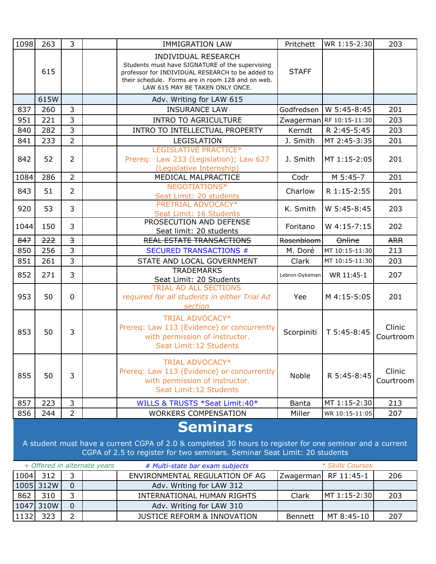| 1098                                                                                                                                                                                                     | 263  | 3                       |  | <b>IMMIGRATION LAW</b>                                                                                                                                                                                                    | Pritchett      | WR 1:15-2:30   | 203                 |
|----------------------------------------------------------------------------------------------------------------------------------------------------------------------------------------------------------|------|-------------------------|--|---------------------------------------------------------------------------------------------------------------------------------------------------------------------------------------------------------------------------|----------------|----------------|---------------------|
|                                                                                                                                                                                                          | 615  |                         |  | <b>INDIVIDUAL RESEARCH</b><br>Students must have SIGNATURE of the supervising<br>professor for INDIVIDUAL RESEARCH to be added to<br>their schedule. Forms are in room 128 and on web.<br>LAW 615 MAY BE TAKEN ONLY ONCE. | <b>STAFF</b>   |                |                     |
|                                                                                                                                                                                                          | 615W |                         |  | Adv. Writing for LAW 615                                                                                                                                                                                                  |                |                |                     |
| 837                                                                                                                                                                                                      | 260  | $\overline{3}$          |  | <b>INSURANCE LAW</b>                                                                                                                                                                                                      | Godfredsen     | W 5:45-8:45    | 201                 |
| 951                                                                                                                                                                                                      | 221  | $\overline{3}$          |  | <b>INTRO TO AGRICULTURE</b>                                                                                                                                                                                               | Zwagerman      | RF 10:15-11:30 | 203                 |
| 840                                                                                                                                                                                                      | 282  | $\overline{3}$          |  | INTRO TO INTELLECTUAL PROPERTY                                                                                                                                                                                            | Kerndt         | R 2:45-5:45    | 203                 |
| 841                                                                                                                                                                                                      | 233  | $\overline{2}$          |  | LEGISLATION                                                                                                                                                                                                               | J. Smith       | MT 2:45-3:35   | 201                 |
| 842                                                                                                                                                                                                      | 52   | $\overline{2}$          |  | LEGISLATIVE PRACTICE*<br>Prereq: Law 233 (Legislation); Law 627<br>(Legislative Internship)                                                                                                                               | J. Smith       | MT 1:15-2:05   | 201                 |
| 1084                                                                                                                                                                                                     | 286  | $\overline{2}$          |  | MEDICAL MALPRACTICE                                                                                                                                                                                                       | Codr           | M 5:45-7       | 201                 |
| 843                                                                                                                                                                                                      | 51   | $\overline{2}$          |  | NEGOTIATIONS*<br>Seat Limit: 20 students                                                                                                                                                                                  | Charlow        | R 1:15-2:55    | 201                 |
| 920                                                                                                                                                                                                      | 53   | 3                       |  | PRETRIAL ADVOCACY*<br>Seat Limit: 16 Students                                                                                                                                                                             | K. Smith       | W 5:45-8:45    | 203                 |
| 1044                                                                                                                                                                                                     | 150  | 3                       |  | PROSECUTION AND DEFENSE<br>Seat limit: 20 students                                                                                                                                                                        | Foritano       | W 4:15-7:15    | 202                 |
| 847                                                                                                                                                                                                      | 222  | $\overline{\mathbf{3}}$ |  | <b>REAL ESTATE TRANSACTIONS</b>                                                                                                                                                                                           | Rosenbloom     | Online         | <b>ARR</b>          |
| 850                                                                                                                                                                                                      | 256  | 3                       |  | <b>SECURED TRANSACTIONS #</b>                                                                                                                                                                                             | M. Doré        | MT 10:15-11:30 | 213                 |
| 851                                                                                                                                                                                                      | 261  | 3                       |  | STATE AND LOCAL GOVERNMENT                                                                                                                                                                                                | Clark          | MT 10:15-11:30 | 203                 |
| 852                                                                                                                                                                                                      | 271  | 3                       |  | <b>TRADEMARKS</b>                                                                                                                                                                                                         | Lebron-Dykeman | WR 11:45-1     | 207                 |
|                                                                                                                                                                                                          |      |                         |  | Seat Limit: 20 Students<br><b>TRIAL AD ALL SECTIONS</b>                                                                                                                                                                   |                |                |                     |
| 953                                                                                                                                                                                                      | 50   | $\mathbf 0$             |  | required for all students in either Trial Ad<br>section                                                                                                                                                                   | Yee            | M 4:15-5:05    | 201                 |
| 853                                                                                                                                                                                                      | 50   | 3                       |  | TRIAL ADVOCACY*<br>Prereq: Law 113 (Evidence) or concurrently<br>with permission of instructor.<br>Seat Limit: 12 Students                                                                                                | Scorpiniti     | T 5:45-8:45    | Clinic<br>Courtroom |
| 855                                                                                                                                                                                                      | 50   | 3                       |  | <b>TRIAL ADVOCACY*</b><br>Prereq: Law 113 (Evidence) or concurrently<br>with permission of instructor.<br>Seat Limit: 12 Students                                                                                         | <b>Noble</b>   | R 5:45-8:45    | Clinic<br>Courtroom |
| 857                                                                                                                                                                                                      | 223  | 3                       |  | WILLS & TRUSTS *Seat Limit: 40*                                                                                                                                                                                           | Banta          | MT 1:15-2:30   | 213                 |
| 856                                                                                                                                                                                                      | 244  | $\overline{2}$          |  | <b>WORKERS COMPENSATION</b>                                                                                                                                                                                               | Miller         | WR 10:15-11:05 | 207                 |
| <b>Seminars</b><br>A student must have a current CGPA of 2.0 & completed 30 hours to register for one seminar and a current<br>CGPA of 2.5 to register for two seminars. Seminar Seat Limit: 20 students |      |                         |  |                                                                                                                                                                                                                           |                |                |                     |

| + Offered in alternate years |           |  | # Multi-state bar exam subjects        |                | * Skills Courses     |      |
|------------------------------|-----------|--|----------------------------------------|----------------|----------------------|------|
| 1004                         | 312       |  | ENVIRONMENTAL REGULATION OF AG         |                | Zwagerman RF 11:45-1 | 206  |
|                              | 1005 312W |  | Adv. Writing for LAW 312               |                |                      |      |
| 862                          | 310       |  | INTERNATIONAL HUMAN RIGHTS             | Clark          | MT 1:15-2:30         | -203 |
| 1047                         | 310W      |  | Adv. Writing for LAW 310               |                |                      |      |
| 1132                         | 323       |  | <b>JUSTICE REFORM &amp; INNOVATION</b> | <b>Bennett</b> | MT 8:45-10           | 207  |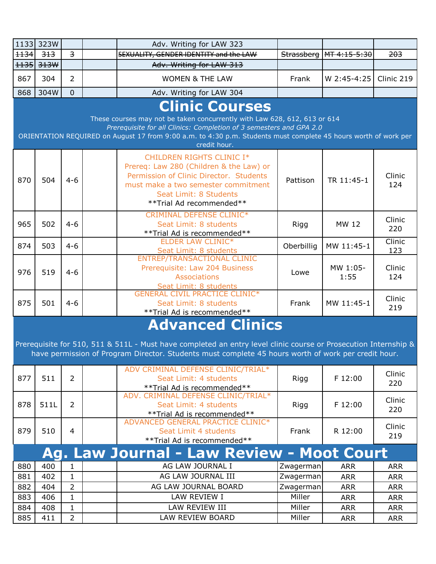|                       | 1133 323W                                                                                                                                        |                         |  | Adv. Writing for LAW 323                                                                                                                                                                                               |            |                           |            |  |  |  |  |
|-----------------------|--------------------------------------------------------------------------------------------------------------------------------------------------|-------------------------|--|------------------------------------------------------------------------------------------------------------------------------------------------------------------------------------------------------------------------|------------|---------------------------|------------|--|--|--|--|
| $+134$                | 313                                                                                                                                              | $\overline{\mathbf{z}}$ |  | SEXUALITY, GENDER IDENTITY and the LAW                                                                                                                                                                                 |            | Strassberg   MT 4:15-5:30 | 203        |  |  |  |  |
| $+135$                | 313W                                                                                                                                             |                         |  | Adv. Writing for LAW 313                                                                                                                                                                                               |            |                           |            |  |  |  |  |
| 867                   | 304                                                                                                                                              | $\overline{2}$          |  | <b>WOMEN &amp; THE LAW</b>                                                                                                                                                                                             | Frank      | W 2:45-4:25               | Clinic 219 |  |  |  |  |
| 868                   | 304W                                                                                                                                             | $\overline{0}$          |  | Adv. Writing for LAW 304                                                                                                                                                                                               |            |                           |            |  |  |  |  |
| <b>Clinic Courses</b> |                                                                                                                                                  |                         |  |                                                                                                                                                                                                                        |            |                           |            |  |  |  |  |
|                       | These courses may not be taken concurrently with Law 628, 612, 613 or 614<br>Prerequisite for all Clinics: Completion of 3 semesters and GPA 2.0 |                         |  |                                                                                                                                                                                                                        |            |                           |            |  |  |  |  |
|                       |                                                                                                                                                  |                         |  |                                                                                                                                                                                                                        |            |                           |            |  |  |  |  |
|                       | ORIENTATION REQUIRED on August 17 from 9:00 a.m. to 4:30 p.m. Students must complete 45 hours worth of work per<br>credit hour.                  |                         |  |                                                                                                                                                                                                                        |            |                           |            |  |  |  |  |
|                       |                                                                                                                                                  |                         |  | CHILDREN RIGHTS CLINIC I*                                                                                                                                                                                              |            |                           |            |  |  |  |  |
|                       |                                                                                                                                                  |                         |  | Prereq: Law 280 (Children & the Law) or                                                                                                                                                                                |            |                           |            |  |  |  |  |
|                       |                                                                                                                                                  |                         |  | Permission of Clinic Director. Students                                                                                                                                                                                |            |                           | Clinic     |  |  |  |  |
| 870                   | 504                                                                                                                                              | $4 - 6$                 |  | must make a two semester commitment                                                                                                                                                                                    | Pattison   | TR 11:45-1                | 124        |  |  |  |  |
|                       |                                                                                                                                                  |                         |  | Seat Limit: 8 Students                                                                                                                                                                                                 |            |                           |            |  |  |  |  |
|                       |                                                                                                                                                  |                         |  | **Trial Ad recommended**                                                                                                                                                                                               |            |                           |            |  |  |  |  |
|                       |                                                                                                                                                  |                         |  | <b>CRIMINAL DEFENSE CLINIC*</b>                                                                                                                                                                                        |            |                           | Clinic     |  |  |  |  |
| 965                   | 502                                                                                                                                              | $4 - 6$                 |  | Seat Limit: 8 students                                                                                                                                                                                                 | Rigg       | MW 12                     | 220        |  |  |  |  |
|                       |                                                                                                                                                  |                         |  | ** Trial Ad is recommended**                                                                                                                                                                                           |            |                           |            |  |  |  |  |
| 874                   | 503                                                                                                                                              | $4 - 6$                 |  | <b>ELDER LAW CLINIC*</b>                                                                                                                                                                                               | Oberbillig | MW 11:45-1                | Clinic     |  |  |  |  |
|                       |                                                                                                                                                  |                         |  | Seat Limit: 8 students<br>ENTREP/TRANSACTIONAL CLINIC                                                                                                                                                                  |            |                           | 123        |  |  |  |  |
|                       |                                                                                                                                                  |                         |  | Prerequisite: Law 204 Business                                                                                                                                                                                         |            | MW 1:05-                  | Clinic     |  |  |  |  |
| 976                   | 519                                                                                                                                              | $4 - 6$                 |  | <b>Associations</b>                                                                                                                                                                                                    | Lowe       | 1:55                      | 124        |  |  |  |  |
|                       |                                                                                                                                                  |                         |  | Seat Limit: 8 students                                                                                                                                                                                                 |            |                           |            |  |  |  |  |
|                       |                                                                                                                                                  |                         |  | <b>GENERAL CIVIL PRACTICE CLINIC*</b>                                                                                                                                                                                  |            |                           | Clinic     |  |  |  |  |
| 875                   | 501                                                                                                                                              | $4 - 6$                 |  | Seat Limit: 8 students                                                                                                                                                                                                 | Frank      | MW 11:45-1                | 219        |  |  |  |  |
|                       |                                                                                                                                                  |                         |  | **Trial Ad is recommended**                                                                                                                                                                                            |            |                           |            |  |  |  |  |
|                       |                                                                                                                                                  |                         |  | <b>Advanced Clinics</b>                                                                                                                                                                                                |            |                           |            |  |  |  |  |
|                       |                                                                                                                                                  |                         |  |                                                                                                                                                                                                                        |            |                           |            |  |  |  |  |
|                       |                                                                                                                                                  |                         |  | Prerequisite for 510, 511 & 511L - Must have completed an entry level clinic course or Prosecution Internship &<br>have permission of Program Director. Students must complete 45 hours worth of work per credit hour. |            |                           |            |  |  |  |  |
|                       |                                                                                                                                                  |                         |  |                                                                                                                                                                                                                        |            |                           |            |  |  |  |  |
|                       |                                                                                                                                                  |                         |  | ADV CRIMINAL DEFENSE CLINIC/TRIAL*                                                                                                                                                                                     |            |                           | Clinic     |  |  |  |  |
| 877                   | 511                                                                                                                                              | $\overline{2}$          |  | Seat Limit: 4 students                                                                                                                                                                                                 | Rigg       | F 12:00                   | 220        |  |  |  |  |
|                       |                                                                                                                                                  |                         |  | ** Trial Ad is recommended**                                                                                                                                                                                           |            |                           |            |  |  |  |  |
|                       |                                                                                                                                                  |                         |  | ADV. CRIMINAL DEFENSE CLINIC/TRIAL*                                                                                                                                                                                    |            |                           | Clinic     |  |  |  |  |
| 878                   | 511L                                                                                                                                             | $\overline{2}$          |  | Seat Limit: 4 students                                                                                                                                                                                                 | Rigg       | F 12:00                   | 220        |  |  |  |  |
|                       |                                                                                                                                                  |                         |  | ** Trial Ad is recommended**<br>ADVANCED GENERAL PRACTICE CLINIC*                                                                                                                                                      |            |                           |            |  |  |  |  |
| 879                   | 510                                                                                                                                              | $\overline{4}$          |  | Seat Limit 4 students                                                                                                                                                                                                  | Frank      | R 12:00                   | Clinic     |  |  |  |  |
|                       |                                                                                                                                                  |                         |  | ** Trial Ad is recommended**                                                                                                                                                                                           |            |                           | 219        |  |  |  |  |
|                       |                                                                                                                                                  |                         |  | <b>Ag. Law Journal - Law Review - Moot Court</b>                                                                                                                                                                       |            |                           |            |  |  |  |  |
| 880                   | 400                                                                                                                                              | 1                       |  | AG LAW JOURNAL I                                                                                                                                                                                                       | Zwagerman  | <b>ARR</b>                | <b>ARR</b> |  |  |  |  |
| 881                   | 402                                                                                                                                              | $\mathbf{1}$            |  | AG LAW JOURNAL III                                                                                                                                                                                                     | Zwagerman  | <b>ARR</b>                | <b>ARR</b> |  |  |  |  |
| 882                   | 404                                                                                                                                              | $\overline{2}$          |  | AG LAW JOURNAL BOARD                                                                                                                                                                                                   | Zwagerman  | <b>ARR</b>                | <b>ARR</b> |  |  |  |  |
| 883                   | 406                                                                                                                                              | $\mathbf{1}$            |  | LAW REVIEW I                                                                                                                                                                                                           | Miller     | <b>ARR</b>                | <b>ARR</b> |  |  |  |  |
| 884                   | 408                                                                                                                                              | $\mathbf{1}$            |  | LAW REVIEW III                                                                                                                                                                                                         | Miller     | <b>ARR</b>                | <b>ARR</b> |  |  |  |  |
| 885                   | 411                                                                                                                                              | $\overline{2}$          |  | LAW REVIEW BOARD                                                                                                                                                                                                       | Miller     | <b>ARR</b>                | <b>ARR</b> |  |  |  |  |
|                       |                                                                                                                                                  |                         |  |                                                                                                                                                                                                                        |            |                           |            |  |  |  |  |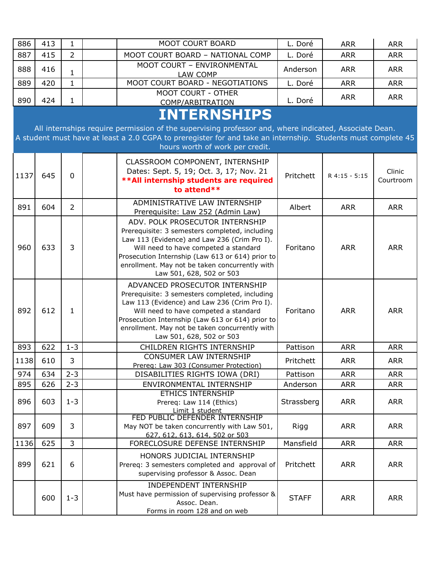| 886  | 413 | $\mathbf{1}$   | <b>MOOT COURT BOARD</b>                                                                                                                                                                                                                                                                                      | L. Doré      | <b>ARR</b>    | <b>ARR</b>          |
|------|-----|----------------|--------------------------------------------------------------------------------------------------------------------------------------------------------------------------------------------------------------------------------------------------------------------------------------------------------------|--------------|---------------|---------------------|
| 887  | 415 | $\overline{2}$ | MOOT COURT BOARD - NATIONAL COMP                                                                                                                                                                                                                                                                             | L. Doré      | <b>ARR</b>    | <b>ARR</b>          |
| 888  | 416 | $\mathbf{1}$   | MOOT COURT - ENVIRONMENTAL<br>LAW COMP                                                                                                                                                                                                                                                                       | Anderson     | <b>ARR</b>    | <b>ARR</b>          |
| 889  | 420 | $\mathbf{1}$   | MOOT COURT BOARD - NEGOTIATIONS                                                                                                                                                                                                                                                                              | L. Doré      | <b>ARR</b>    | <b>ARR</b>          |
| 890  | 424 | 1              | MOOT COURT - OTHER<br>COMP/ARBITRATION                                                                                                                                                                                                                                                                       | L. Doré      | <b>ARR</b>    | <b>ARR</b>          |
|      |     |                | <b>INTERNSHIPS</b><br>All internships require permission of the supervising professor and, where indicated, Associate Dean.<br>A student must have at least a 2.0 CGPA to preregister for and take an internship. Students must complete 45<br>hours worth of work per credit.                               |              |               |                     |
| 1137 | 645 | $\mathbf 0$    | CLASSROOM COMPONENT, INTERNSHIP<br>Dates: Sept. 5, 19; Oct. 3, 17; Nov. 21<br>** All internship students are required<br>to attend**                                                                                                                                                                         | Pritchett    | R 4:15 - 5:15 | Clinic<br>Courtroom |
| 891  | 604 | $\overline{2}$ | ADMINISTRATIVE LAW INTERNSHIP<br>Prerequisite: Law 252 (Admin Law)                                                                                                                                                                                                                                           | Albert       | <b>ARR</b>    | <b>ARR</b>          |
| 960  | 633 | 3              | ADV. POLK PROSECUTOR INTERNSHIP<br>Prerequisite: 3 semesters completed, including<br>Law 113 (Evidence) and Law 236 (Crim Pro I).<br>Will need to have competed a standard<br>Prosecution Internship (Law 613 or 614) prior to<br>enrollment. May not be taken concurrently with<br>Law 501, 628, 502 or 503 | Foritano     | <b>ARR</b>    | <b>ARR</b>          |
| 892  | 612 | $\mathbf{1}$   | ADVANCED PROSECUTOR INTERNSHIP<br>Prerequisite: 3 semesters completed, including<br>Law 113 (Evidence) and Law 236 (Crim Pro I).<br>Will need to have competed a standard<br>Prosecution Internship (Law 613 or 614) prior to<br>enrollment. May not be taken concurrently with<br>Law 501, 628, 502 or 503  | Foritano     | <b>ARR</b>    | <b>ARR</b>          |
| 893  | 622 | $1 - 3$        | CHILDREN RIGHTS INTERNSHIP                                                                                                                                                                                                                                                                                   | Pattison     | <b>ARR</b>    | <b>ARR</b>          |
| 1138 | 610 | 3              | CONSUMER LAW INTERNSHIP<br>Prereq: Law 303 (Consumer Protection)                                                                                                                                                                                                                                             | Pritchett    | <b>ARR</b>    | <b>ARR</b>          |
| 974  | 634 | $2 - 3$        | DISABILITIES RIGHTS IOWA (DRI)                                                                                                                                                                                                                                                                               | Pattison     | <b>ARR</b>    | <b>ARR</b>          |
| 895  | 626 | $2 - 3$        | ENVIRONMENTAL INTERNSHIP<br><b>ETHICS INTERNSHIP</b>                                                                                                                                                                                                                                                         | Anderson     | <b>ARR</b>    | <b>ARR</b>          |
| 896  | 603 | $1 - 3$        | Prereq: Law 114 (Ethics)<br>Limit 1 student                                                                                                                                                                                                                                                                  | Strassberg   | <b>ARR</b>    | <b>ARR</b>          |
| 897  | 609 | 3              | FED PUBLIC DEFENDER INTERNSHIP<br>May NOT be taken concurrently with Law 501,<br>627, 612, 613, 614, 502 or 503                                                                                                                                                                                              | Rigg         | <b>ARR</b>    | <b>ARR</b>          |
| 1136 | 625 | $\overline{3}$ | FORECLOSURE DEFENSE INTERNSHIP                                                                                                                                                                                                                                                                               | Mansfield    | <b>ARR</b>    | <b>ARR</b>          |
| 899  | 621 | 6              | HONORS JUDICIAL INTERNSHIP<br>Prereq: 3 semesters completed and approval of<br>supervising professor & Assoc. Dean                                                                                                                                                                                           | Pritchett    | <b>ARR</b>    | <b>ARR</b>          |
|      | 600 | $1 - 3$        | INDEPENDENT INTERNSHIP<br>Must have permission of supervising professor &<br>Assoc. Dean.<br>Forms in room 128 and on web                                                                                                                                                                                    | <b>STAFF</b> | <b>ARR</b>    | <b>ARR</b>          |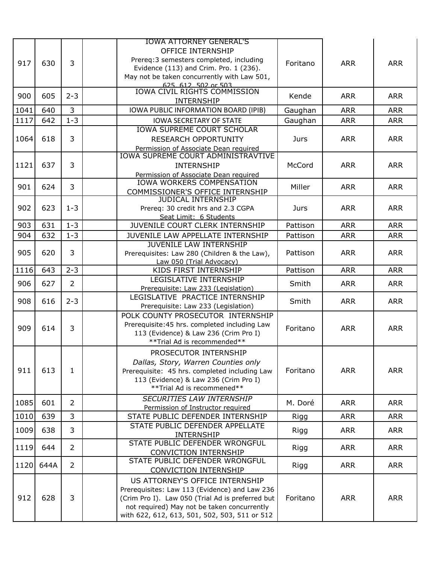| <b>OFFICE INTERNSHIP</b><br>Prereq: 3 semesters completed, including<br>3<br>917<br><b>ARR</b><br>630<br>Foritano<br><b>ARR</b><br>Evidence (113) and Crim. Pro. 1 (236).<br>May not be taken concurrently with Law 501,<br>625, 612, 502 or 503<br><b>IOWA CIVIL RIGHTS COMMISSION</b><br>900<br>605<br>$2 - 3$<br><b>ARR</b><br><b>ARR</b><br>Kende<br><b>INTERNSHIP</b><br>3<br>640<br><b>ARR</b><br>1041<br>IOWA PUBLIC INFORMATION BOARD (IPIB)<br>Gaughan<br><b>ARR</b><br>$1 - 3$<br>1117<br>642<br>Gaughan<br><b>ARR</b><br><b>ARR</b><br><b>IOWA SECRETARY OF STATE</b><br><b>IOWA SUPREME COURT SCHOLAR</b><br>3<br>1064<br><b>ARR</b><br>618<br><b>Jurs</b><br><b>ARR</b><br><b>RESEARCH OPPORTUNITY</b><br>Permission of Associate Dean required<br><b>IOWA SUPREME COURT ADMINISTRAVTIVE</b><br>637<br>3<br>1121<br>McCord<br><b>ARR</b><br><b>ARR</b><br><b>INTERNSHIP</b><br>Permission of Associate Dean required<br>IOWA WORKERS COMPENSATION<br>3<br>901<br>Miller<br>624<br><b>ARR</b><br><b>ARR</b><br>COMMISSIONER'S OFFICE INTERNSHIP<br><b>JUDICAL INTERNSHIP</b><br>902<br>$1 - 3$<br>623<br><b>ARR</b><br><b>ARR</b><br>Prereq: 30 credit hrs and 2.3 CGPA<br>Jurs<br>Seat Limit: 6 Students<br>$1 - 3$<br>903<br>631<br>JUVENILE COURT CLERK INTERNSHIP<br>Pattison<br><b>ARR</b><br><b>ARR</b><br>904<br>632<br>$1 - 3$<br>JUVENILE LAW APPELLATE INTERNSHIP<br>Pattison<br><b>ARR</b><br><b>ARR</b><br><b>JUVENILE LAW INTERNSHIP</b><br>3<br>905<br>620<br>Pattison<br><b>ARR</b><br><b>ARR</b><br>Prerequisites: Law 280 (Children & the Law),<br>Law 050 (Trial Advocacy)<br>643<br>$2 - 3$<br>KIDS FIRST INTERNSHIP<br>1116<br>Pattison<br><b>ARR</b><br><b>ARR</b><br>LEGISLATIVE INTERNSHIP<br>$\overline{2}$<br>906<br>627<br><b>ARR</b><br>Smith<br><b>ARR</b><br>Prerequisite: Law 233 (Legislation)<br>LEGISLATIVE PRACTICE INTERNSHIP<br>908<br>$2 - 3$<br>616<br>Smith<br><b>ARR</b><br><b>ARR</b><br>Prerequisite: Law 233 (Legislation)<br>POLK COUNTY PROSECUTOR INTERNSHIP<br>Prerequisite: 45 hrs. completed including Law<br>3<br>909<br>614<br>Foritano<br><b>ARR</b><br><b>ARR</b><br>113 (Evidence) & Law 236 (Crim Pro I)<br>** Trial Ad is recommended**<br>PROSECUTOR INTERNSHIP<br>Dallas, Story, Warren Counties only<br>911<br>613<br>1<br><b>ARR</b><br><b>ARR</b><br>Foritano<br>Prerequisite: 45 hrs. completed including Law<br>113 (Evidence) & Law 236 (Crim Pro I)<br>**Trial Ad is recommened**<br><b>SECURITIES LAW INTERNSHIP</b><br>1085<br>601<br>$\overline{2}$<br>M. Doré<br><b>ARR</b><br><b>ARR</b><br>Permission of Instructor required<br>1010<br>3<br>639<br>STATE PUBLIC DEFENDER INTERNSHIP<br><b>ARR</b><br><b>ARR</b><br>Rigg<br>STATE PUBLIC DEFENDER APPELLATE<br>1009<br>638<br>3<br><b>ARR</b><br><b>ARR</b><br>Rigg<br>INTERNSHIP<br>STATE PUBLIC DEFENDER WRONGFUL<br>$\overline{2}$<br>1119<br>644<br><b>ARR</b><br>Rigg<br><b>ARR</b><br><b>CONVICTION INTERNSHIP</b><br>STATE PUBLIC DEFENDER WRONGFUL<br>$\overline{2}$<br>644A<br>1120<br><b>ARR</b><br><b>ARR</b><br>Rigg<br><b>CONVICTION INTERNSHIP</b><br>US ATTORNEY'S OFFICE INTERNSHIP<br>Prerequisites: Law 113 (Evidence) and Law 236<br>3<br>912<br>628<br><b>ARR</b><br><b>ARR</b><br>Foritano<br>(Crim Pro I). Law 050 (Trial Ad is preferred but<br>not required) May not be taken concurrently<br>with 622, 612, 613, 501, 502, 503, 511 or 512 |  |  | <b>IOWA ATTORNEY GENERAL'S</b> |  |  |
|--------------------------------------------------------------------------------------------------------------------------------------------------------------------------------------------------------------------------------------------------------------------------------------------------------------------------------------------------------------------------------------------------------------------------------------------------------------------------------------------------------------------------------------------------------------------------------------------------------------------------------------------------------------------------------------------------------------------------------------------------------------------------------------------------------------------------------------------------------------------------------------------------------------------------------------------------------------------------------------------------------------------------------------------------------------------------------------------------------------------------------------------------------------------------------------------------------------------------------------------------------------------------------------------------------------------------------------------------------------------------------------------------------------------------------------------------------------------------------------------------------------------------------------------------------------------------------------------------------------------------------------------------------------------------------------------------------------------------------------------------------------------------------------------------------------------------------------------------------------------------------------------------------------------------------------------------------------------------------------------------------------------------------------------------------------------------------------------------------------------------------------------------------------------------------------------------------------------------------------------------------------------------------------------------------------------------------------------------------------------------------------------------------------------------------------------------------------------------------------------------------------------------------------------------------------------------------------------------------------------------------------------------------------------------------------------------------------------------------------------------------------------------------------------------------------------------------------------------------------------------------------------------------------------------------------------------------------------------------------------------------------------------------------------------------------------------------------------------------------------------------------------------------------------------------------------------------------------------------------------------------------------------------------------------------------------------------------------------------------------------------------------------------|--|--|--------------------------------|--|--|
|                                                                                                                                                                                                                                                                                                                                                                                                                                                                                                                                                                                                                                                                                                                                                                                                                                                                                                                                                                                                                                                                                                                                                                                                                                                                                                                                                                                                                                                                                                                                                                                                                                                                                                                                                                                                                                                                                                                                                                                                                                                                                                                                                                                                                                                                                                                                                                                                                                                                                                                                                                                                                                                                                                                                                                                                                                                                                                                                                                                                                                                                                                                                                                                                                                                                                                                                                                                                        |  |  |                                |  |  |
|                                                                                                                                                                                                                                                                                                                                                                                                                                                                                                                                                                                                                                                                                                                                                                                                                                                                                                                                                                                                                                                                                                                                                                                                                                                                                                                                                                                                                                                                                                                                                                                                                                                                                                                                                                                                                                                                                                                                                                                                                                                                                                                                                                                                                                                                                                                                                                                                                                                                                                                                                                                                                                                                                                                                                                                                                                                                                                                                                                                                                                                                                                                                                                                                                                                                                                                                                                                                        |  |  |                                |  |  |
|                                                                                                                                                                                                                                                                                                                                                                                                                                                                                                                                                                                                                                                                                                                                                                                                                                                                                                                                                                                                                                                                                                                                                                                                                                                                                                                                                                                                                                                                                                                                                                                                                                                                                                                                                                                                                                                                                                                                                                                                                                                                                                                                                                                                                                                                                                                                                                                                                                                                                                                                                                                                                                                                                                                                                                                                                                                                                                                                                                                                                                                                                                                                                                                                                                                                                                                                                                                                        |  |  |                                |  |  |
|                                                                                                                                                                                                                                                                                                                                                                                                                                                                                                                                                                                                                                                                                                                                                                                                                                                                                                                                                                                                                                                                                                                                                                                                                                                                                                                                                                                                                                                                                                                                                                                                                                                                                                                                                                                                                                                                                                                                                                                                                                                                                                                                                                                                                                                                                                                                                                                                                                                                                                                                                                                                                                                                                                                                                                                                                                                                                                                                                                                                                                                                                                                                                                                                                                                                                                                                                                                                        |  |  |                                |  |  |
|                                                                                                                                                                                                                                                                                                                                                                                                                                                                                                                                                                                                                                                                                                                                                                                                                                                                                                                                                                                                                                                                                                                                                                                                                                                                                                                                                                                                                                                                                                                                                                                                                                                                                                                                                                                                                                                                                                                                                                                                                                                                                                                                                                                                                                                                                                                                                                                                                                                                                                                                                                                                                                                                                                                                                                                                                                                                                                                                                                                                                                                                                                                                                                                                                                                                                                                                                                                                        |  |  |                                |  |  |
|                                                                                                                                                                                                                                                                                                                                                                                                                                                                                                                                                                                                                                                                                                                                                                                                                                                                                                                                                                                                                                                                                                                                                                                                                                                                                                                                                                                                                                                                                                                                                                                                                                                                                                                                                                                                                                                                                                                                                                                                                                                                                                                                                                                                                                                                                                                                                                                                                                                                                                                                                                                                                                                                                                                                                                                                                                                                                                                                                                                                                                                                                                                                                                                                                                                                                                                                                                                                        |  |  |                                |  |  |
|                                                                                                                                                                                                                                                                                                                                                                                                                                                                                                                                                                                                                                                                                                                                                                                                                                                                                                                                                                                                                                                                                                                                                                                                                                                                                                                                                                                                                                                                                                                                                                                                                                                                                                                                                                                                                                                                                                                                                                                                                                                                                                                                                                                                                                                                                                                                                                                                                                                                                                                                                                                                                                                                                                                                                                                                                                                                                                                                                                                                                                                                                                                                                                                                                                                                                                                                                                                                        |  |  |                                |  |  |
|                                                                                                                                                                                                                                                                                                                                                                                                                                                                                                                                                                                                                                                                                                                                                                                                                                                                                                                                                                                                                                                                                                                                                                                                                                                                                                                                                                                                                                                                                                                                                                                                                                                                                                                                                                                                                                                                                                                                                                                                                                                                                                                                                                                                                                                                                                                                                                                                                                                                                                                                                                                                                                                                                                                                                                                                                                                                                                                                                                                                                                                                                                                                                                                                                                                                                                                                                                                                        |  |  |                                |  |  |
|                                                                                                                                                                                                                                                                                                                                                                                                                                                                                                                                                                                                                                                                                                                                                                                                                                                                                                                                                                                                                                                                                                                                                                                                                                                                                                                                                                                                                                                                                                                                                                                                                                                                                                                                                                                                                                                                                                                                                                                                                                                                                                                                                                                                                                                                                                                                                                                                                                                                                                                                                                                                                                                                                                                                                                                                                                                                                                                                                                                                                                                                                                                                                                                                                                                                                                                                                                                                        |  |  |                                |  |  |
|                                                                                                                                                                                                                                                                                                                                                                                                                                                                                                                                                                                                                                                                                                                                                                                                                                                                                                                                                                                                                                                                                                                                                                                                                                                                                                                                                                                                                                                                                                                                                                                                                                                                                                                                                                                                                                                                                                                                                                                                                                                                                                                                                                                                                                                                                                                                                                                                                                                                                                                                                                                                                                                                                                                                                                                                                                                                                                                                                                                                                                                                                                                                                                                                                                                                                                                                                                                                        |  |  |                                |  |  |
|                                                                                                                                                                                                                                                                                                                                                                                                                                                                                                                                                                                                                                                                                                                                                                                                                                                                                                                                                                                                                                                                                                                                                                                                                                                                                                                                                                                                                                                                                                                                                                                                                                                                                                                                                                                                                                                                                                                                                                                                                                                                                                                                                                                                                                                                                                                                                                                                                                                                                                                                                                                                                                                                                                                                                                                                                                                                                                                                                                                                                                                                                                                                                                                                                                                                                                                                                                                                        |  |  |                                |  |  |
|                                                                                                                                                                                                                                                                                                                                                                                                                                                                                                                                                                                                                                                                                                                                                                                                                                                                                                                                                                                                                                                                                                                                                                                                                                                                                                                                                                                                                                                                                                                                                                                                                                                                                                                                                                                                                                                                                                                                                                                                                                                                                                                                                                                                                                                                                                                                                                                                                                                                                                                                                                                                                                                                                                                                                                                                                                                                                                                                                                                                                                                                                                                                                                                                                                                                                                                                                                                                        |  |  |                                |  |  |
|                                                                                                                                                                                                                                                                                                                                                                                                                                                                                                                                                                                                                                                                                                                                                                                                                                                                                                                                                                                                                                                                                                                                                                                                                                                                                                                                                                                                                                                                                                                                                                                                                                                                                                                                                                                                                                                                                                                                                                                                                                                                                                                                                                                                                                                                                                                                                                                                                                                                                                                                                                                                                                                                                                                                                                                                                                                                                                                                                                                                                                                                                                                                                                                                                                                                                                                                                                                                        |  |  |                                |  |  |
|                                                                                                                                                                                                                                                                                                                                                                                                                                                                                                                                                                                                                                                                                                                                                                                                                                                                                                                                                                                                                                                                                                                                                                                                                                                                                                                                                                                                                                                                                                                                                                                                                                                                                                                                                                                                                                                                                                                                                                                                                                                                                                                                                                                                                                                                                                                                                                                                                                                                                                                                                                                                                                                                                                                                                                                                                                                                                                                                                                                                                                                                                                                                                                                                                                                                                                                                                                                                        |  |  |                                |  |  |
|                                                                                                                                                                                                                                                                                                                                                                                                                                                                                                                                                                                                                                                                                                                                                                                                                                                                                                                                                                                                                                                                                                                                                                                                                                                                                                                                                                                                                                                                                                                                                                                                                                                                                                                                                                                                                                                                                                                                                                                                                                                                                                                                                                                                                                                                                                                                                                                                                                                                                                                                                                                                                                                                                                                                                                                                                                                                                                                                                                                                                                                                                                                                                                                                                                                                                                                                                                                                        |  |  |                                |  |  |
|                                                                                                                                                                                                                                                                                                                                                                                                                                                                                                                                                                                                                                                                                                                                                                                                                                                                                                                                                                                                                                                                                                                                                                                                                                                                                                                                                                                                                                                                                                                                                                                                                                                                                                                                                                                                                                                                                                                                                                                                                                                                                                                                                                                                                                                                                                                                                                                                                                                                                                                                                                                                                                                                                                                                                                                                                                                                                                                                                                                                                                                                                                                                                                                                                                                                                                                                                                                                        |  |  |                                |  |  |
|                                                                                                                                                                                                                                                                                                                                                                                                                                                                                                                                                                                                                                                                                                                                                                                                                                                                                                                                                                                                                                                                                                                                                                                                                                                                                                                                                                                                                                                                                                                                                                                                                                                                                                                                                                                                                                                                                                                                                                                                                                                                                                                                                                                                                                                                                                                                                                                                                                                                                                                                                                                                                                                                                                                                                                                                                                                                                                                                                                                                                                                                                                                                                                                                                                                                                                                                                                                                        |  |  |                                |  |  |
|                                                                                                                                                                                                                                                                                                                                                                                                                                                                                                                                                                                                                                                                                                                                                                                                                                                                                                                                                                                                                                                                                                                                                                                                                                                                                                                                                                                                                                                                                                                                                                                                                                                                                                                                                                                                                                                                                                                                                                                                                                                                                                                                                                                                                                                                                                                                                                                                                                                                                                                                                                                                                                                                                                                                                                                                                                                                                                                                                                                                                                                                                                                                                                                                                                                                                                                                                                                                        |  |  |                                |  |  |
|                                                                                                                                                                                                                                                                                                                                                                                                                                                                                                                                                                                                                                                                                                                                                                                                                                                                                                                                                                                                                                                                                                                                                                                                                                                                                                                                                                                                                                                                                                                                                                                                                                                                                                                                                                                                                                                                                                                                                                                                                                                                                                                                                                                                                                                                                                                                                                                                                                                                                                                                                                                                                                                                                                                                                                                                                                                                                                                                                                                                                                                                                                                                                                                                                                                                                                                                                                                                        |  |  |                                |  |  |
|                                                                                                                                                                                                                                                                                                                                                                                                                                                                                                                                                                                                                                                                                                                                                                                                                                                                                                                                                                                                                                                                                                                                                                                                                                                                                                                                                                                                                                                                                                                                                                                                                                                                                                                                                                                                                                                                                                                                                                                                                                                                                                                                                                                                                                                                                                                                                                                                                                                                                                                                                                                                                                                                                                                                                                                                                                                                                                                                                                                                                                                                                                                                                                                                                                                                                                                                                                                                        |  |  |                                |  |  |
|                                                                                                                                                                                                                                                                                                                                                                                                                                                                                                                                                                                                                                                                                                                                                                                                                                                                                                                                                                                                                                                                                                                                                                                                                                                                                                                                                                                                                                                                                                                                                                                                                                                                                                                                                                                                                                                                                                                                                                                                                                                                                                                                                                                                                                                                                                                                                                                                                                                                                                                                                                                                                                                                                                                                                                                                                                                                                                                                                                                                                                                                                                                                                                                                                                                                                                                                                                                                        |  |  |                                |  |  |
|                                                                                                                                                                                                                                                                                                                                                                                                                                                                                                                                                                                                                                                                                                                                                                                                                                                                                                                                                                                                                                                                                                                                                                                                                                                                                                                                                                                                                                                                                                                                                                                                                                                                                                                                                                                                                                                                                                                                                                                                                                                                                                                                                                                                                                                                                                                                                                                                                                                                                                                                                                                                                                                                                                                                                                                                                                                                                                                                                                                                                                                                                                                                                                                                                                                                                                                                                                                                        |  |  |                                |  |  |
|                                                                                                                                                                                                                                                                                                                                                                                                                                                                                                                                                                                                                                                                                                                                                                                                                                                                                                                                                                                                                                                                                                                                                                                                                                                                                                                                                                                                                                                                                                                                                                                                                                                                                                                                                                                                                                                                                                                                                                                                                                                                                                                                                                                                                                                                                                                                                                                                                                                                                                                                                                                                                                                                                                                                                                                                                                                                                                                                                                                                                                                                                                                                                                                                                                                                                                                                                                                                        |  |  |                                |  |  |
|                                                                                                                                                                                                                                                                                                                                                                                                                                                                                                                                                                                                                                                                                                                                                                                                                                                                                                                                                                                                                                                                                                                                                                                                                                                                                                                                                                                                                                                                                                                                                                                                                                                                                                                                                                                                                                                                                                                                                                                                                                                                                                                                                                                                                                                                                                                                                                                                                                                                                                                                                                                                                                                                                                                                                                                                                                                                                                                                                                                                                                                                                                                                                                                                                                                                                                                                                                                                        |  |  |                                |  |  |
|                                                                                                                                                                                                                                                                                                                                                                                                                                                                                                                                                                                                                                                                                                                                                                                                                                                                                                                                                                                                                                                                                                                                                                                                                                                                                                                                                                                                                                                                                                                                                                                                                                                                                                                                                                                                                                                                                                                                                                                                                                                                                                                                                                                                                                                                                                                                                                                                                                                                                                                                                                                                                                                                                                                                                                                                                                                                                                                                                                                                                                                                                                                                                                                                                                                                                                                                                                                                        |  |  |                                |  |  |
|                                                                                                                                                                                                                                                                                                                                                                                                                                                                                                                                                                                                                                                                                                                                                                                                                                                                                                                                                                                                                                                                                                                                                                                                                                                                                                                                                                                                                                                                                                                                                                                                                                                                                                                                                                                                                                                                                                                                                                                                                                                                                                                                                                                                                                                                                                                                                                                                                                                                                                                                                                                                                                                                                                                                                                                                                                                                                                                                                                                                                                                                                                                                                                                                                                                                                                                                                                                                        |  |  |                                |  |  |
|                                                                                                                                                                                                                                                                                                                                                                                                                                                                                                                                                                                                                                                                                                                                                                                                                                                                                                                                                                                                                                                                                                                                                                                                                                                                                                                                                                                                                                                                                                                                                                                                                                                                                                                                                                                                                                                                                                                                                                                                                                                                                                                                                                                                                                                                                                                                                                                                                                                                                                                                                                                                                                                                                                                                                                                                                                                                                                                                                                                                                                                                                                                                                                                                                                                                                                                                                                                                        |  |  |                                |  |  |
|                                                                                                                                                                                                                                                                                                                                                                                                                                                                                                                                                                                                                                                                                                                                                                                                                                                                                                                                                                                                                                                                                                                                                                                                                                                                                                                                                                                                                                                                                                                                                                                                                                                                                                                                                                                                                                                                                                                                                                                                                                                                                                                                                                                                                                                                                                                                                                                                                                                                                                                                                                                                                                                                                                                                                                                                                                                                                                                                                                                                                                                                                                                                                                                                                                                                                                                                                                                                        |  |  |                                |  |  |
|                                                                                                                                                                                                                                                                                                                                                                                                                                                                                                                                                                                                                                                                                                                                                                                                                                                                                                                                                                                                                                                                                                                                                                                                                                                                                                                                                                                                                                                                                                                                                                                                                                                                                                                                                                                                                                                                                                                                                                                                                                                                                                                                                                                                                                                                                                                                                                                                                                                                                                                                                                                                                                                                                                                                                                                                                                                                                                                                                                                                                                                                                                                                                                                                                                                                                                                                                                                                        |  |  |                                |  |  |
|                                                                                                                                                                                                                                                                                                                                                                                                                                                                                                                                                                                                                                                                                                                                                                                                                                                                                                                                                                                                                                                                                                                                                                                                                                                                                                                                                                                                                                                                                                                                                                                                                                                                                                                                                                                                                                                                                                                                                                                                                                                                                                                                                                                                                                                                                                                                                                                                                                                                                                                                                                                                                                                                                                                                                                                                                                                                                                                                                                                                                                                                                                                                                                                                                                                                                                                                                                                                        |  |  |                                |  |  |
|                                                                                                                                                                                                                                                                                                                                                                                                                                                                                                                                                                                                                                                                                                                                                                                                                                                                                                                                                                                                                                                                                                                                                                                                                                                                                                                                                                                                                                                                                                                                                                                                                                                                                                                                                                                                                                                                                                                                                                                                                                                                                                                                                                                                                                                                                                                                                                                                                                                                                                                                                                                                                                                                                                                                                                                                                                                                                                                                                                                                                                                                                                                                                                                                                                                                                                                                                                                                        |  |  |                                |  |  |
|                                                                                                                                                                                                                                                                                                                                                                                                                                                                                                                                                                                                                                                                                                                                                                                                                                                                                                                                                                                                                                                                                                                                                                                                                                                                                                                                                                                                                                                                                                                                                                                                                                                                                                                                                                                                                                                                                                                                                                                                                                                                                                                                                                                                                                                                                                                                                                                                                                                                                                                                                                                                                                                                                                                                                                                                                                                                                                                                                                                                                                                                                                                                                                                                                                                                                                                                                                                                        |  |  |                                |  |  |
|                                                                                                                                                                                                                                                                                                                                                                                                                                                                                                                                                                                                                                                                                                                                                                                                                                                                                                                                                                                                                                                                                                                                                                                                                                                                                                                                                                                                                                                                                                                                                                                                                                                                                                                                                                                                                                                                                                                                                                                                                                                                                                                                                                                                                                                                                                                                                                                                                                                                                                                                                                                                                                                                                                                                                                                                                                                                                                                                                                                                                                                                                                                                                                                                                                                                                                                                                                                                        |  |  |                                |  |  |
|                                                                                                                                                                                                                                                                                                                                                                                                                                                                                                                                                                                                                                                                                                                                                                                                                                                                                                                                                                                                                                                                                                                                                                                                                                                                                                                                                                                                                                                                                                                                                                                                                                                                                                                                                                                                                                                                                                                                                                                                                                                                                                                                                                                                                                                                                                                                                                                                                                                                                                                                                                                                                                                                                                                                                                                                                                                                                                                                                                                                                                                                                                                                                                                                                                                                                                                                                                                                        |  |  |                                |  |  |
|                                                                                                                                                                                                                                                                                                                                                                                                                                                                                                                                                                                                                                                                                                                                                                                                                                                                                                                                                                                                                                                                                                                                                                                                                                                                                                                                                                                                                                                                                                                                                                                                                                                                                                                                                                                                                                                                                                                                                                                                                                                                                                                                                                                                                                                                                                                                                                                                                                                                                                                                                                                                                                                                                                                                                                                                                                                                                                                                                                                                                                                                                                                                                                                                                                                                                                                                                                                                        |  |  |                                |  |  |
|                                                                                                                                                                                                                                                                                                                                                                                                                                                                                                                                                                                                                                                                                                                                                                                                                                                                                                                                                                                                                                                                                                                                                                                                                                                                                                                                                                                                                                                                                                                                                                                                                                                                                                                                                                                                                                                                                                                                                                                                                                                                                                                                                                                                                                                                                                                                                                                                                                                                                                                                                                                                                                                                                                                                                                                                                                                                                                                                                                                                                                                                                                                                                                                                                                                                                                                                                                                                        |  |  |                                |  |  |
|                                                                                                                                                                                                                                                                                                                                                                                                                                                                                                                                                                                                                                                                                                                                                                                                                                                                                                                                                                                                                                                                                                                                                                                                                                                                                                                                                                                                                                                                                                                                                                                                                                                                                                                                                                                                                                                                                                                                                                                                                                                                                                                                                                                                                                                                                                                                                                                                                                                                                                                                                                                                                                                                                                                                                                                                                                                                                                                                                                                                                                                                                                                                                                                                                                                                                                                                                                                                        |  |  |                                |  |  |
|                                                                                                                                                                                                                                                                                                                                                                                                                                                                                                                                                                                                                                                                                                                                                                                                                                                                                                                                                                                                                                                                                                                                                                                                                                                                                                                                                                                                                                                                                                                                                                                                                                                                                                                                                                                                                                                                                                                                                                                                                                                                                                                                                                                                                                                                                                                                                                                                                                                                                                                                                                                                                                                                                                                                                                                                                                                                                                                                                                                                                                                                                                                                                                                                                                                                                                                                                                                                        |  |  |                                |  |  |
|                                                                                                                                                                                                                                                                                                                                                                                                                                                                                                                                                                                                                                                                                                                                                                                                                                                                                                                                                                                                                                                                                                                                                                                                                                                                                                                                                                                                                                                                                                                                                                                                                                                                                                                                                                                                                                                                                                                                                                                                                                                                                                                                                                                                                                                                                                                                                                                                                                                                                                                                                                                                                                                                                                                                                                                                                                                                                                                                                                                                                                                                                                                                                                                                                                                                                                                                                                                                        |  |  |                                |  |  |
|                                                                                                                                                                                                                                                                                                                                                                                                                                                                                                                                                                                                                                                                                                                                                                                                                                                                                                                                                                                                                                                                                                                                                                                                                                                                                                                                                                                                                                                                                                                                                                                                                                                                                                                                                                                                                                                                                                                                                                                                                                                                                                                                                                                                                                                                                                                                                                                                                                                                                                                                                                                                                                                                                                                                                                                                                                                                                                                                                                                                                                                                                                                                                                                                                                                                                                                                                                                                        |  |  |                                |  |  |
|                                                                                                                                                                                                                                                                                                                                                                                                                                                                                                                                                                                                                                                                                                                                                                                                                                                                                                                                                                                                                                                                                                                                                                                                                                                                                                                                                                                                                                                                                                                                                                                                                                                                                                                                                                                                                                                                                                                                                                                                                                                                                                                                                                                                                                                                                                                                                                                                                                                                                                                                                                                                                                                                                                                                                                                                                                                                                                                                                                                                                                                                                                                                                                                                                                                                                                                                                                                                        |  |  |                                |  |  |
|                                                                                                                                                                                                                                                                                                                                                                                                                                                                                                                                                                                                                                                                                                                                                                                                                                                                                                                                                                                                                                                                                                                                                                                                                                                                                                                                                                                                                                                                                                                                                                                                                                                                                                                                                                                                                                                                                                                                                                                                                                                                                                                                                                                                                                                                                                                                                                                                                                                                                                                                                                                                                                                                                                                                                                                                                                                                                                                                                                                                                                                                                                                                                                                                                                                                                                                                                                                                        |  |  |                                |  |  |
|                                                                                                                                                                                                                                                                                                                                                                                                                                                                                                                                                                                                                                                                                                                                                                                                                                                                                                                                                                                                                                                                                                                                                                                                                                                                                                                                                                                                                                                                                                                                                                                                                                                                                                                                                                                                                                                                                                                                                                                                                                                                                                                                                                                                                                                                                                                                                                                                                                                                                                                                                                                                                                                                                                                                                                                                                                                                                                                                                                                                                                                                                                                                                                                                                                                                                                                                                                                                        |  |  |                                |  |  |
|                                                                                                                                                                                                                                                                                                                                                                                                                                                                                                                                                                                                                                                                                                                                                                                                                                                                                                                                                                                                                                                                                                                                                                                                                                                                                                                                                                                                                                                                                                                                                                                                                                                                                                                                                                                                                                                                                                                                                                                                                                                                                                                                                                                                                                                                                                                                                                                                                                                                                                                                                                                                                                                                                                                                                                                                                                                                                                                                                                                                                                                                                                                                                                                                                                                                                                                                                                                                        |  |  |                                |  |  |
|                                                                                                                                                                                                                                                                                                                                                                                                                                                                                                                                                                                                                                                                                                                                                                                                                                                                                                                                                                                                                                                                                                                                                                                                                                                                                                                                                                                                                                                                                                                                                                                                                                                                                                                                                                                                                                                                                                                                                                                                                                                                                                                                                                                                                                                                                                                                                                                                                                                                                                                                                                                                                                                                                                                                                                                                                                                                                                                                                                                                                                                                                                                                                                                                                                                                                                                                                                                                        |  |  |                                |  |  |
|                                                                                                                                                                                                                                                                                                                                                                                                                                                                                                                                                                                                                                                                                                                                                                                                                                                                                                                                                                                                                                                                                                                                                                                                                                                                                                                                                                                                                                                                                                                                                                                                                                                                                                                                                                                                                                                                                                                                                                                                                                                                                                                                                                                                                                                                                                                                                                                                                                                                                                                                                                                                                                                                                                                                                                                                                                                                                                                                                                                                                                                                                                                                                                                                                                                                                                                                                                                                        |  |  |                                |  |  |
|                                                                                                                                                                                                                                                                                                                                                                                                                                                                                                                                                                                                                                                                                                                                                                                                                                                                                                                                                                                                                                                                                                                                                                                                                                                                                                                                                                                                                                                                                                                                                                                                                                                                                                                                                                                                                                                                                                                                                                                                                                                                                                                                                                                                                                                                                                                                                                                                                                                                                                                                                                                                                                                                                                                                                                                                                                                                                                                                                                                                                                                                                                                                                                                                                                                                                                                                                                                                        |  |  |                                |  |  |
|                                                                                                                                                                                                                                                                                                                                                                                                                                                                                                                                                                                                                                                                                                                                                                                                                                                                                                                                                                                                                                                                                                                                                                                                                                                                                                                                                                                                                                                                                                                                                                                                                                                                                                                                                                                                                                                                                                                                                                                                                                                                                                                                                                                                                                                                                                                                                                                                                                                                                                                                                                                                                                                                                                                                                                                                                                                                                                                                                                                                                                                                                                                                                                                                                                                                                                                                                                                                        |  |  |                                |  |  |
|                                                                                                                                                                                                                                                                                                                                                                                                                                                                                                                                                                                                                                                                                                                                                                                                                                                                                                                                                                                                                                                                                                                                                                                                                                                                                                                                                                                                                                                                                                                                                                                                                                                                                                                                                                                                                                                                                                                                                                                                                                                                                                                                                                                                                                                                                                                                                                                                                                                                                                                                                                                                                                                                                                                                                                                                                                                                                                                                                                                                                                                                                                                                                                                                                                                                                                                                                                                                        |  |  |                                |  |  |
|                                                                                                                                                                                                                                                                                                                                                                                                                                                                                                                                                                                                                                                                                                                                                                                                                                                                                                                                                                                                                                                                                                                                                                                                                                                                                                                                                                                                                                                                                                                                                                                                                                                                                                                                                                                                                                                                                                                                                                                                                                                                                                                                                                                                                                                                                                                                                                                                                                                                                                                                                                                                                                                                                                                                                                                                                                                                                                                                                                                                                                                                                                                                                                                                                                                                                                                                                                                                        |  |  |                                |  |  |
|                                                                                                                                                                                                                                                                                                                                                                                                                                                                                                                                                                                                                                                                                                                                                                                                                                                                                                                                                                                                                                                                                                                                                                                                                                                                                                                                                                                                                                                                                                                                                                                                                                                                                                                                                                                                                                                                                                                                                                                                                                                                                                                                                                                                                                                                                                                                                                                                                                                                                                                                                                                                                                                                                                                                                                                                                                                                                                                                                                                                                                                                                                                                                                                                                                                                                                                                                                                                        |  |  |                                |  |  |
|                                                                                                                                                                                                                                                                                                                                                                                                                                                                                                                                                                                                                                                                                                                                                                                                                                                                                                                                                                                                                                                                                                                                                                                                                                                                                                                                                                                                                                                                                                                                                                                                                                                                                                                                                                                                                                                                                                                                                                                                                                                                                                                                                                                                                                                                                                                                                                                                                                                                                                                                                                                                                                                                                                                                                                                                                                                                                                                                                                                                                                                                                                                                                                                                                                                                                                                                                                                                        |  |  |                                |  |  |